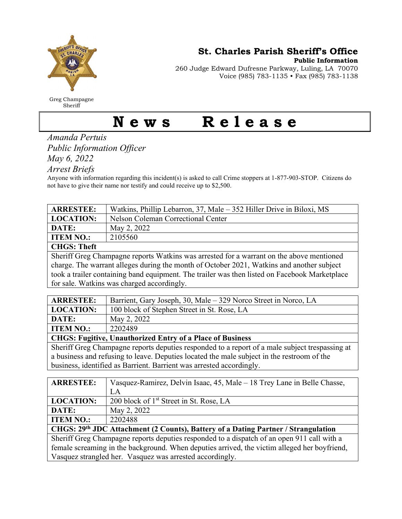

Greg Champagne Sheriff

St. Charles Parish Sheriff's Office

Public Information

260 Judge Edward Dufresne Parkway, Luling, LA 70070 Voice (985) 783-1135 • Fax (985) 783-1138

## News Release

Amanda Pertuis Public Information Officer May 6, 2022

Arrest Briefs

Anyone with information regarding this incident(s) is asked to call Crime stoppers at 1-877-903-STOP. Citizens do not have to give their name nor testify and could receive up to \$2,500.

| <b>ARRESTEE:</b>                                                                              | Watkins, Phillip Lebarron, 37, Male – 352 Hiller Drive in Biloxi, MS |
|-----------------------------------------------------------------------------------------------|----------------------------------------------------------------------|
| <b>LOCATION:</b>                                                                              | Nelson Coleman Correctional Center                                   |
| DATE:                                                                                         | May 2, 2022                                                          |
| <b>ITEM NO.:</b>                                                                              | 2105560                                                              |
| <b>CHGS: Theft</b>                                                                            |                                                                      |
| Sheriff Greg Champagne reports Watkins was arrested for a warrant on the above mentioned      |                                                                      |
| charge. The warrant alleges during the month of October 2021, Watkins and another subject     |                                                                      |
| took a trailer containing band equipment. The trailer was then listed on Facebook Marketplace |                                                                      |
| for sale. Watkins was charged accordingly.                                                    |                                                                      |
|                                                                                               |                                                                      |

| <b>ARRESTEE:</b>                                                 | Barrient, Gary Joseph, 30, Male – 329 Norco Street in Norco, LA |
|------------------------------------------------------------------|-----------------------------------------------------------------|
| <b>LOCATION:</b>                                                 | 100 block of Stephen Street in St. Rose, LA                     |
| DATE:                                                            | May 2, 2022                                                     |
| <b>ITEM NO.:</b>                                                 | 2202489                                                         |
| <b>CHGS: Fugitive, Unauthorized Entry of a Place of Business</b> |                                                                 |

Sheriff Greg Champagne reports deputies responded to a report of a male subject trespassing at a business and refusing to leave. Deputies located the male subject in the restroom of the business, identified as Barrient. Barrient was arrested accordingly.

| <b>ARRESTEE:</b>                                                                             | Vasquez-Ramirez, Delvin Isaac, 45, Male - 18 Trey Lane in Belle Chasse, |  |
|----------------------------------------------------------------------------------------------|-------------------------------------------------------------------------|--|
|                                                                                              | LA                                                                      |  |
| <b>LOCATION:</b>                                                                             | 200 block of 1 <sup>st</sup> Street in St. Rose, LA                     |  |
| DATE:                                                                                        | May 2, 2022                                                             |  |
| <b>ITEM NO.:</b>                                                                             | 2202488                                                                 |  |
| CHGS: 29th JDC Attachment (2 Counts), Battery of a Dating Partner / Strangulation            |                                                                         |  |
| Sheriff Greg Champagne reports deputies responded to a dispatch of an open 911 call with a   |                                                                         |  |
| female screaming in the background. When deputies arrived, the victim alleged her boyfriend, |                                                                         |  |
| Vasquez strangled her. Vasquez was arrested accordingly.                                     |                                                                         |  |